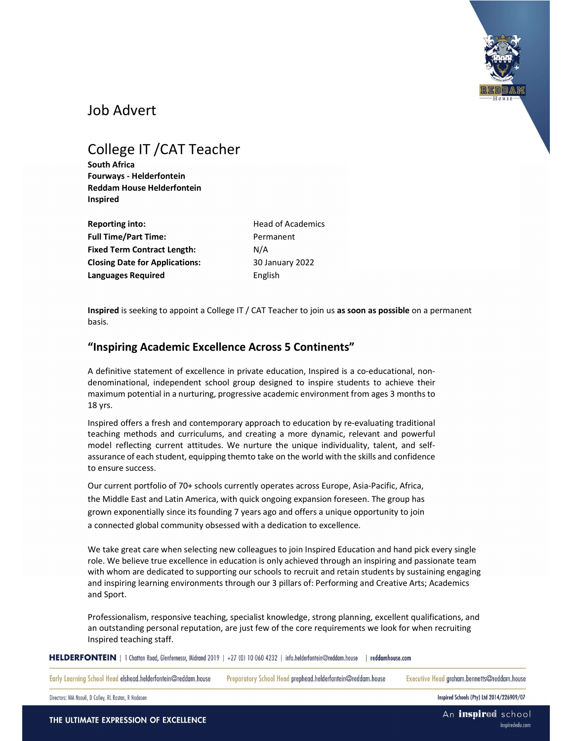

## Job Advert

# College IT /CAT Teacher

South Africa Fourways - Helderfontein Reddam House Helderfontein Inspired

Reporting into: **Head of Academics** Full Time/Part Time: Permanent Fixed Term Contract Length: N/A Closing Date for Applications: 30 January 2022 Languages Required **English** 

Inspired is seeking to appoint a College IT / CAT Teacher to join us as soon as possible on a permanent basis.

## "Inspiring Academic Excellence Across 5 Continents"

A definitive statement of excellence in private education, Inspired is a co-educational, nondenominational, independent school group designed to inspire students to achieve their maximum potential in a nurturing, progressive academic environment from ages 3 months to 18 yrs.

Inspired offers a fresh and contemporary approach to education by re-evaluating traditional teaching methods and curriculums, and creating a more dynamic, relevant and powerful model reflecting current attitudes. We nurture the unique individuality, talent, and selfassurance of each student, equipping them to take on the world with the skills and confidence to ensure success.

Our current portfolio of 70+ schools currently operates across Europe, Asia-Pacific, Africa, the Middle East and Latin America, with quick ongoing expansion foreseen. The group has grown exponentially since its founding 7 years ago and offers a unique opportunity to join a connected global community obsessed with a dedication to excellence.

We take great care when selecting new colleagues to join Inspired Education and hand pick every single role. We believe true excellence in education is only achieved through an inspiring and passionate team with whom are dedicated to supporting our schools to recruit and retain students by sustaining engaging and inspiring learning environments through our 3 pillars of: Performing and Creative Arts; Academics and Sport.

Professionalism, responsive teaching, specialist knowledge, strong planning, excellent qualifications, and an outstanding personal reputation, are just few of the core requirements we look for when recruiting Inspired teaching staff.

HELDERFONTEIN | 1 Chattan Road, Glenfernessr, Midrand 2019 | +27 (0) 10 060 4232 | info.helderfontein@reddam.house | reddamhouse.com

Early Learning School Head elshead.helderfontein@reddam.house

Preparatory School Head prephead.helderfontein@reddam.house

Executive Head graham.bennetts@reddam.house

Directors: NM Nsouli, D Colley, RL Rostas, R Nadasen

Inspired Schools (Pty) Ltd 2014/226909/07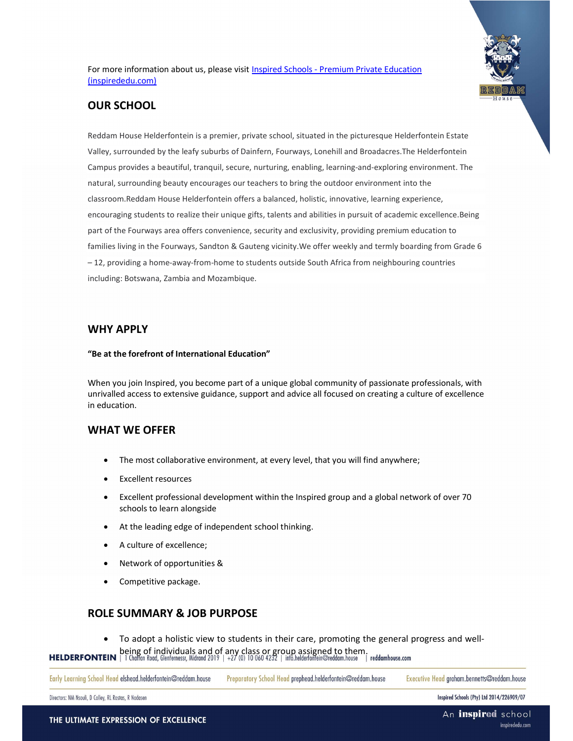For more information about us, please visit Inspired Schools - Premium Private Education (inspirededu.com)



## OUR SCHOOL

Reddam House Helderfontein is a premier, private school, situated in the picturesque Helderfontein Estate Valley, surrounded by the leafy suburbs of Dainfern, Fourways, Lonehill and Broadacres.The Helderfontein Campus provides a beautiful, tranquil, secure, nurturing, enabling, learning-and-exploring environment. The natural, surrounding beauty encourages our teachers to bring the outdoor environment into the classroom.Reddam House Helderfontein offers a balanced, holistic, innovative, learning experience, encouraging students to realize their unique gifts, talents and abilities in pursuit of academic excellence.Being part of the Fourways area offers convenience, security and exclusivity, providing premium education to families living in the Fourways, Sandton & Gauteng vicinity.We offer weekly and termly boarding from Grade 6 – 12, providing a home-away-from-home to students outside South Africa from neighbouring countries including: Botswana, Zambia and Mozambique.

#### WHY APPLY

#### "Be at the forefront of International Education"

When you join Inspired, you become part of a unique global community of passionate professionals, with unrivalled access to extensive guidance, support and advice all focused on creating a culture of excellence in education.

#### WHAT WE OFFER

- The most collaborative environment, at every level, that you will find anywhere;
- Excellent resources
- Excellent professional development within the Inspired group and a global network of over 70 schools to learn alongside
- At the leading edge of independent school thinking.
- A culture of excellence;
- Network of opportunities &
- Competitive package.

### ROLE SUMMARY & JOB PURPOSE

To adopt a holistic view to students in their care, promoting the general progress and well-

HELDERFONTEIN **peing of individuals and of any class or group assigned to them.**<br>HELDERFONTEIN **P**I Chaftan Road, Glenfernessr, Midrand 2019 | +27 (0) 10 060 4232 | info.helderfonfein@reddam.house | reddamhouse.com

|  | Early Learning School Head elshead.helderfontein@reddam.house Preparatory School Head prephead.helderfontein@reddam.house |  | Executive Head graham.bennetts@reddam.house |
|--|---------------------------------------------------------------------------------------------------------------------------|--|---------------------------------------------|
|--|---------------------------------------------------------------------------------------------------------------------------|--|---------------------------------------------|

Directors: NM Nsouli, D Colley, RL Rostas, R Nadasen

Inspired Schools (Pty) Ltd 2014/226909/07

THE ULTIMATE EXPRESSION OF EXCELLENCE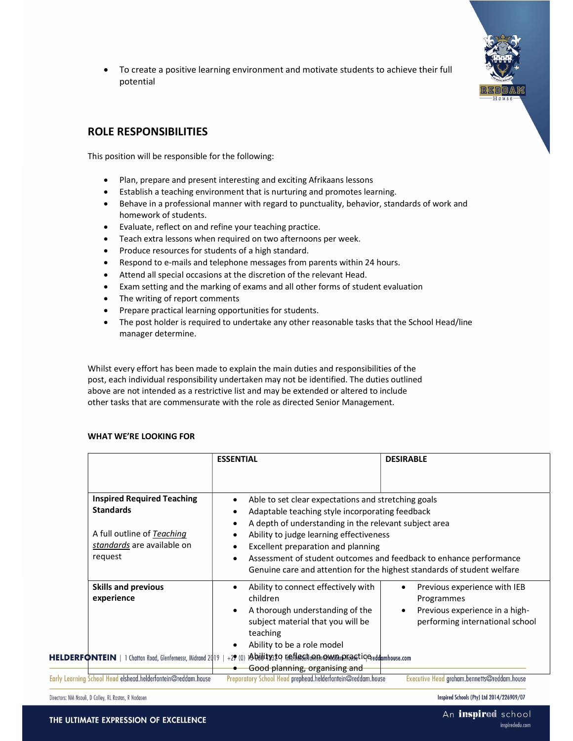To create a positive learning environment and motivate students to achieve their full potential



## ROLE RESPONSIBILITIES

This position will be responsible for the following:

- Plan, prepare and present interesting and exciting Afrikaans lessons
- Establish a teaching environment that is nurturing and promotes learning.
- Behave in a professional manner with regard to punctuality, behavior, standards of work and homework of students.
- Evaluate, reflect on and refine your teaching practice.
- Teach extra lessons when required on two afternoons per week.
- Produce resources for students of a high standard.
- Respond to e-mails and telephone messages from parents within 24 hours.
- Attend all special occasions at the discretion of the relevant Head.
- Exam setting and the marking of exams and all other forms of student evaluation
- The writing of report comments
- Prepare practical learning opportunities for students.
- The post holder is required to undertake any other reasonable tasks that the School Head/line manager determine.

Whilst every effort has been made to explain the main duties and responsibilities of the post, each individual responsibility undertaken may not be identified. The duties outlined above are not intended as a restrictive list and may be extended or altered to include other tasks that are commensurate with the role as directed Senior Management.

#### WHAT WE'RE LOOKING FOR

|                                                                                                                              | <b>ESSENTIAL</b>                                                                                                                                                                                                                                                                                                                                                                                  | <b>DESIRABLE</b>                                                                                                |
|------------------------------------------------------------------------------------------------------------------------------|---------------------------------------------------------------------------------------------------------------------------------------------------------------------------------------------------------------------------------------------------------------------------------------------------------------------------------------------------------------------------------------------------|-----------------------------------------------------------------------------------------------------------------|
|                                                                                                                              |                                                                                                                                                                                                                                                                                                                                                                                                   |                                                                                                                 |
| <b>Inspired Required Teaching</b><br><b>Standards</b><br>A full outline of Teaching<br>standards are available on<br>request | Able to set clear expectations and stretching goals<br>Adaptable teaching style incorporating feedback<br>A depth of understanding in the relevant subject area<br>Ability to judge learning effectiveness<br>Excellent preparation and planning<br>Assessment of student outcomes and feedback to enhance performance<br>Genuine care and attention for the highest standards of student welfare |                                                                                                                 |
| <b>Skills and previous</b><br>experience                                                                                     | Ability to connect effectively with<br>children<br>A thorough understanding of the<br>subject material that you will be<br>teaching<br>Ability to be a role model                                                                                                                                                                                                                                 | Previous experience with IEB<br>Programmes<br>Previous experience in a high-<br>performing international school |
| HELDERFONTEIN   1 Chattan Road, Glenfernessr, Midrand 2019                                                                   | 1Abdditysto mefileration monumento asticle eddumhouse.com<br>$+29(0)$<br>Good planning, organising and                                                                                                                                                                                                                                                                                            |                                                                                                                 |
| Early Learning School Head elshead.helderfontein@reddam.house                                                                | Preparatory School Head prephead.helderfontein@reddam.house                                                                                                                                                                                                                                                                                                                                       | Executive Head graham.bennetts@reddam.house                                                                     |

Directors: NM Nsouli, D Colley, RL Rostas, R Nadasen

Inspired Schools (Pty) Ltd 2014/226909/07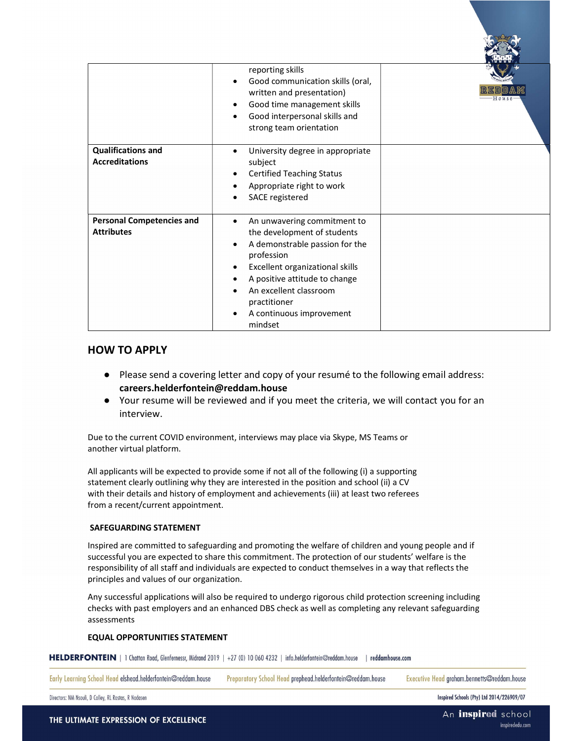|                                                       | reporting skills<br>Good communication skills (oral,<br>written and presentation)<br>Good time management skills<br>Good interpersonal skills and<br>strong team orientation                                                                                    | $H$ $0$ $\nu$ $s$ $\epsilon$ |
|-------------------------------------------------------|-----------------------------------------------------------------------------------------------------------------------------------------------------------------------------------------------------------------------------------------------------------------|------------------------------|
| <b>Qualifications and</b><br><b>Accreditations</b>    | University degree in appropriate<br>subject<br><b>Certified Teaching Status</b><br>Appropriate right to work<br>SACE registered                                                                                                                                 |                              |
| <b>Personal Competencies and</b><br><b>Attributes</b> | An unwavering commitment to<br>the development of students<br>A demonstrable passion for the<br>profession<br>Excellent organizational skills<br>A positive attitude to change<br>An excellent classroom<br>practitioner<br>A continuous improvement<br>mindset |                              |

#### HOW TO APPLY

- Please send a covering letter and copy of your resumé to the following email address: careers.helderfontein@reddam.house
- Your resume will be reviewed and if you meet the criteria, we will contact you for an interview.

Due to the current COVID environment, interviews may place via Skype, MS Teams or another virtual platform.

All applicants will be expected to provide some if not all of the following (i) a supporting statement clearly outlining why they are interested in the position and school (ii) a CV with their details and history of employment and achievements (iii) at least two referees from a recent/current appointment.

#### SAFEGUARDING STATEMENT

Inspired are committed to safeguarding and promoting the welfare of children and young people and if successful you are expected to share this commitment. The protection of our students' welfare is the responsibility of all staff and individuals are expected to conduct themselves in a way that reflects the principles and values of our organization.

Any successful applications will also be required to undergo rigorous child protection screening including checks with past employers and an enhanced DBS check as well as completing any relevant safeguarding assessments

#### EQUAL OPPORTUNITIES STATEMENT

HELDERFONTEIN | 1 Chattan Road, Glenfernessr, Midrand 2019 | +27 (0) 10 060 4232 | info.helderfontein@reddam.house | reddamhouse.com

Early Learning School Head elshead.helderfontein@reddam.house

Preparatory School Head prephead.helderfontein@reddam.house

Executive Head graham.bennetts@reddam.house

Directors: NM Nsouli, D Colley, RL Rostas, R Nadasen

Inspired Schools (Pty) Ltd 2014/226909/07

**RECENT 1**